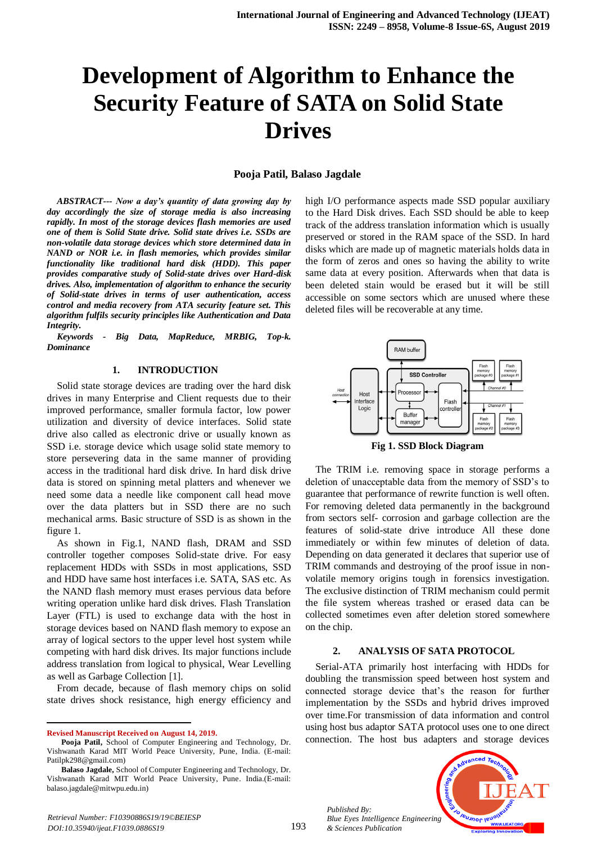# **Development of Algorithm to Enhance the Security Feature of SATA on Solid State Drives**

### **Pooja Patil, Balaso Jagdale**

*ABSTRACT--- Now a day's quantity of data growing day by day accordingly the size of storage media is also increasing rapidly. In most of the storage devices flash memories are used one of them is Solid State drive. Solid state drives i.e. SSDs are non-volatile data storage devices which store determined data in NAND or NOR i.e. in flash memories, which provides similar functionality like traditional hard disk (HDD). This paper provides comparative study of Solid-state drives over Hard-disk drives. Also, implementation of algorithm to enhance the security of Solid-state drives in terms of user authentication, access control and media recovery from ATA security feature set. This algorithm fulfils security principles like Authentication and Data Integrity.*

*Keywords - Big Data, MapReduce, MRBIG, Top-k. Dominance*

#### **1. INTRODUCTION**

Solid state storage devices are trading over the hard disk drives in many Enterprise and Client requests due to their improved performance, smaller formula factor, low power utilization and diversity of device interfaces. Solid state drive also called as electronic drive or usually known as SSD i.e. storage device which usage solid state memory to store persevering data in the same manner of providing access in the traditional hard disk drive. In hard disk drive data is stored on spinning metal platters and whenever we need some data a needle like component call head move over the data platters but in SSD there are no such mechanical arms. Basic structure of SSD is as shown in the figure 1.

As shown in Fig.1, NAND flash, DRAM and SSD controller together composes Solid-state drive. For easy replacement HDDs with SSDs in most applications, SSD and HDD have same host interfaces i.e. SATA, SAS etc. As the NAND flash memory must erases pervious data before writing operation unlike hard disk drives. Flash Translation Layer (FTL) is used to exchange data with the host in storage devices based on NAND flash memory to expose an array of logical sectors to the upper level host system while competing with hard disk drives. Its major functions include address translation from logical to physical, Wear Levelling as well as Garbage Collection [1].

From decade, because of flash memory chips on solid state drives shock resistance, high energy efficiency and

 $\overline{a}$ 

high I/O performance aspects made SSD popular auxiliary to the Hard Disk drives. Each SSD should be able to keep track of the address translation information which is usually preserved or stored in the RAM space of the SSD. In hard disks which are made up of magnetic materials holds data in the form of zeros and ones so having the ability to write same data at every position. Afterwards when that data is been deleted stain would be erased but it will be still accessible on some sectors which are unused where these deleted files will be recoverable at any time.



**Fig 1. SSD Block Diagram**

The TRIM i.e. removing space in storage performs a deletion of unacceptable data from the memory of SSD's to guarantee that performance of rewrite function is well often. For removing deleted data permanently in the background from sectors self- corrosion and garbage collection are the features of solid-state drive introduce All these done immediately or within few minutes of deletion of data. Depending on data generated it declares that superior use of TRIM commands and destroying of the proof issue in nonvolatile memory origins tough in forensics investigation. The exclusive distinction of TRIM mechanism could permit the file system whereas trashed or erased data can be collected sometimes even after deletion stored somewhere on the chip.

#### **2. ANALYSIS OF SATA PROTOCOL**

Serial-ATA primarily host interfacing with HDDs for doubling the transmission speed between host system and connected storage device that's the reason for further implementation by the SSDs and hybrid drives improved over time.For transmission of data information and control using host bus adaptor SATA protocol uses one to one direct connection. The host bus adapters and storage devices



*Published By: Blue Eyes Intelligence Engineering & Sciences Publication* 

**Revised Manuscript Received on August 14, 2019.**

**Pooja Patil,** School of Computer Engineering and Technology, Dr. Vishwanath Karad MIT World Peace University, Pune, India. (E-mail: Patilpk298@gmail.com)

**Balaso Jagdale,** School of Computer Engineering and Technology, Dr. Vishwanath Karad MIT World Peace University, Pune. India.(E-mail: balaso.jagdale@mitwpu.edu.in)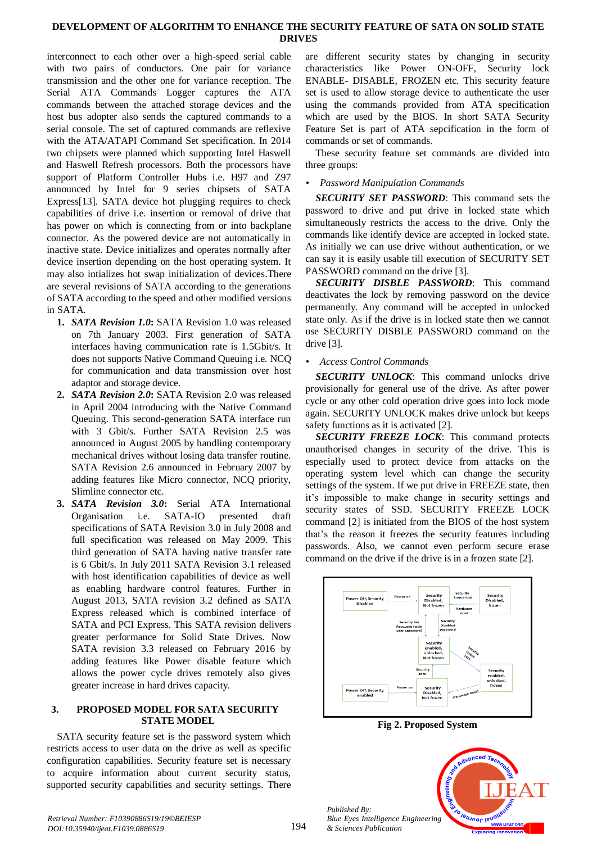# **DEVELOPMENT OF ALGORITHM TO ENHANCE THE SECURITY FEATURE OF SATA ON SOLID STATE DRIVES**

interconnect to each other over a high-speed serial cable with two pairs of conductors. One pair for variance transmission and the other one for variance reception. The Serial ATA Commands Logger captures the ATA commands between the attached storage devices and the host bus adopter also sends the captured commands to a serial console. The set of captured commands are reflexive with the ATA/ATAPI Command Set specification. In 2014 two chipsets were planned which supporting Intel Haswell and Haswell Refresh processors. Both the processors have support of Platform Controller Hubs i.e. H97 and Z97 announced by Intel for 9 series chipsets of SATA Express[13]. SATA device hot plugging requires to check capabilities of drive i.e. insertion or removal of drive that has power on which is connecting from or into backplane connector. As the powered device are not automatically in inactive state. Device initializes and operates normally after device insertion depending on the host operating system. It may also intializes hot swap initialization of devices.There are several revisions of SATA according to the generations of SATA according to the speed and other modified versions in SATA.

- **1.** *SATA Revision 1.0***:** SATA Revision 1.0 was released on 7th January 2003. First generation of SATA interfaces having communication rate is 1.5Gbit/s. It does not supports Native Command Queuing i.e. NCQ for communication and data transmission over host adaptor and storage device.
- **2.** *SATA Revision 2.0***:** SATA Revision 2.0 was released in April 2004 introducing with the Native Command Queuing. This second-generation SATA interface run with 3 Gbit/s. Further SATA Revision 2.5 was announced in August 2005 by handling contemporary mechanical drives without losing data transfer routine. SATA Revision 2.6 announced in February 2007 by adding features like Micro connector, NCQ priority, Slimline connector etc.
- **3.** *SATA Revision 3.0***:** Serial ATA International Organisation i.e. SATA-IO presented draft specifications of SATA Revision 3.0 in July 2008 and full specification was released on May 2009. This third generation of SATA having native transfer rate is 6 Gbit/s. In July 2011 SATA Revision 3.1 released with host identification capabilities of device as well as enabling hardware control features. Further in August 2013, SATA revision 3.2 defined as SATA Express released which is combined interface of SATA and PCI Express. This SATA revision delivers greater performance for Solid State Drives. Now SATA revision 3.3 released on February 2016 by adding features like Power disable feature which allows the power cycle drives remotely also gives greater increase in hard drives capacity.

### **3. PROPOSED MODEL FOR SATA SECURITY STATE MODEL**

SATA security feature set is the password system which restricts access to user data on the drive as well as specific configuration capabilities. Security feature set is necessary to acquire information about current security status, supported security capabilities and security settings. There

are different security states by changing in security characteristics like Power ON-OFF, Security lock ENABLE- DISABLE, FROZEN etc. This security feature set is used to allow storage device to authenticate the user using the commands provided from ATA specification which are used by the BIOS. In short SATA Security Feature Set is part of ATA sepcification in the form of commands or set of commands.

These security feature set commands are divided into three groups:

# *• Password Manipulation Commands*

*SECURITY SET PASSWORD*: This command sets the password to drive and put drive in locked state which simultaneously restricts the access to the drive. Only the commands like identify device are accepted in locked state. As initially we can use drive without authentication, or we can say it is easily usable till execution of SECURITY SET PASSWORD command on the drive [3].

*SECURITY DISBLE PASSWORD*: This command deactivates the lock by removing password on the device permanently. Any command will be accepted in unlocked state only. As if the drive is in locked state then we cannot use SECURITY DISBLE PASSWORD command on the drive [3].

# *• Access Control Commands*

*SECURITY UNLOCK*: This command unlocks drive provisionally for general use of the drive. As after power cycle or any other cold operation drive goes into lock mode again. SECURITY UNLOCK makes drive unlock but keeps safety functions as it is activated [2].

*SECURITY FREEZE LOCK*: This command protects unauthorised changes in security of the drive. This is especially used to protect device from attacks on the operating system level which can change the security settings of the system. If we put drive in FREEZE state, then it's impossible to make change in security settings and security states of SSD. SECURITY FREEZE LOCK command [2] is initiated from the BIOS of the host system that's the reason it freezes the security features including passwords. Also, we cannot even perform secure erase command on the drive if the drive is in a frozen state [2].



**Fig 2. Proposed System**



*Published By:*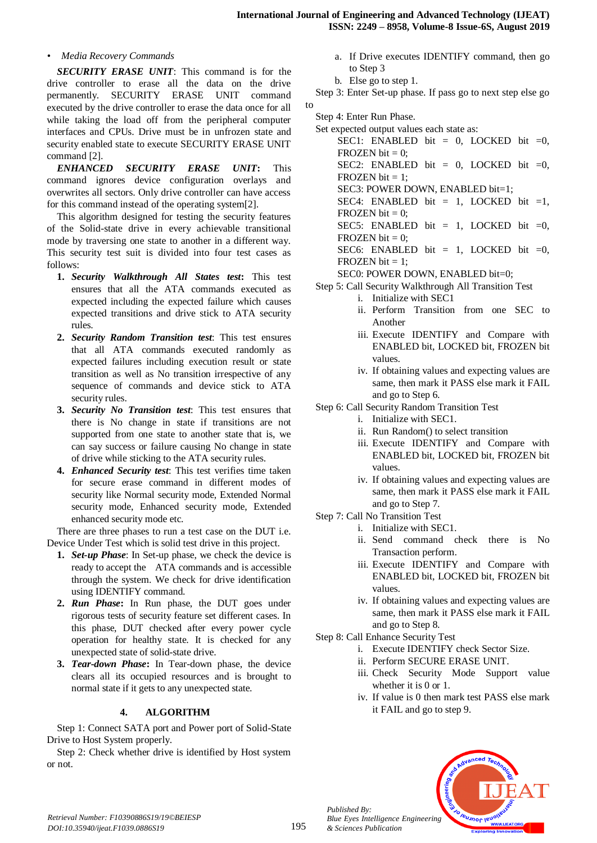# *• Media Recovery Commands*

*SECURITY ERASE UNIT*: This command is for the drive controller to erase all the data on the drive permanently. SECURITY ERASE UNIT command executed by the drive controller to erase the data once for all while taking the load off from the peripheral computer interfaces and CPUs. Drive must be in unfrozen state and security enabled state to execute SECURITY ERASE UNIT command [2].

*ENHANCED SECURITY ERASE UNIT***:** This command ignores device configuration overlays and overwrites all sectors. Only drive controller can have access for this command instead of the operating system[2].

This algorithm designed for testing the security features of the Solid-state drive in every achievable transitional mode by traversing one state to another in a different way. This security test suit is divided into four test cases as follows:

- **1.** *Security Walkthrough All States test***:** This test ensures that all the ATA commands executed as expected including the expected failure which causes expected transitions and drive stick to ATA security rules.
- **2.** *Security Random Transition test*: This test ensures that all ATA commands executed randomly as expected failures including execution result or state transition as well as No transition irrespective of any sequence of commands and device stick to ATA security rules.
- **3.** *Security No Transition test*: This test ensures that there is No change in state if transitions are not supported from one state to another state that is, we can say success or failure causing No change in state of drive while sticking to the ATA security rules.
- **4.** *Enhanced Security test*: This test verifies time taken for secure erase command in different modes of security like Normal security mode, Extended Normal security mode, Enhanced security mode, Extended enhanced security mode etc.

There are three phases to run a test case on the DUT i.e. Device Under Test which is solid test drive in this project.

- **1.** *Set-up Phase*: In Set-up phase, we check the device is ready to accept the ATA commands and is accessible through the system. We check for drive identification using IDENTIFY command.
- **2.** *Run Phase***:** In Run phase, the DUT goes under rigorous tests of security feature set different cases. In this phase, DUT checked after every power cycle operation for healthy state. It is checked for any unexpected state of solid-state drive.
- **3.** *Tear-down Phase***:** In Tear-down phase, the device clears all its occupied resources and is brought to normal state if it gets to any unexpected state.

# **4. ALGORITHM**

Step 1: Connect SATA port and Power port of Solid-State Drive to Host System properly.

Step 2: Check whether drive is identified by Host system or not.

- a. If Drive executes IDENTIFY command, then go to Step 3
- b. Else go to step 1.

Step 3: Enter Set-up phase. If pass go to next step else go to

Step 4: Enter Run Phase.

Set expected output values each state as:

SEC1: ENABLED bit = 0, LOCKED bit = 0, FROZEN bit  $= 0$ ; SEC2: ENABLED bit = 0, LOCKED bit = 0, FROZEN bit  $= 1$ : SEC3: POWER DOWN, ENABLED bit=1; SEC4: ENABLED bit = 1, LOCKED bit =1, FROZEN bit  $= 0$ ; SEC5: ENABLED bit = 1, LOCKED bit = 0, FROZEN bit  $= 0$ ; SEC6: ENABLED bit  $= 1$ , LOCKED bit  $= 0$ ,  $FROZEN bit = 1$ : SEC0: POWER DOWN, ENABLED bit=0;

Step 5: Call Security Walkthrough All Transition Test

- i. Initialize with SEC1
- ii. Perform Transition from one SEC to Another
- iii. Execute IDENTIFY and Compare with ENABLED bit, LOCKED bit, FROZEN bit values.
- iv. If obtaining values and expecting values are same, then mark it PASS else mark it FAIL and go to Step 6.
- Step 6: Call Security Random Transition Test
	- i. Initialize with SEC1.
	- ii. Run Random() to select transition
	- iii. Execute IDENTIFY and Compare with ENABLED bit, LOCKED bit, FROZEN bit values.
	- iv. If obtaining values and expecting values are same, then mark it PASS else mark it FAIL and go to Step 7.
- Step 7: Call No Transition Test
	- i. Initialize with SEC1.
	- ii. Send command check there is No Transaction perform.
	- iii. Execute IDENTIFY and Compare with ENABLED bit, LOCKED bit, FROZEN bit values.
	- iv. If obtaining values and expecting values are same, then mark it PASS else mark it FAIL and go to Step 8.
- Step 8: Call Enhance Security Test
	- i. Execute IDENTIFY check Sector Size.
	- ii. Perform SECURE ERASE UNIT.
	- iii. Check Security Mode Support value whether it is 0 or 1.
	- iv. If value is 0 then mark test PASS else mark it FAIL and go to step 9.



*Published By:*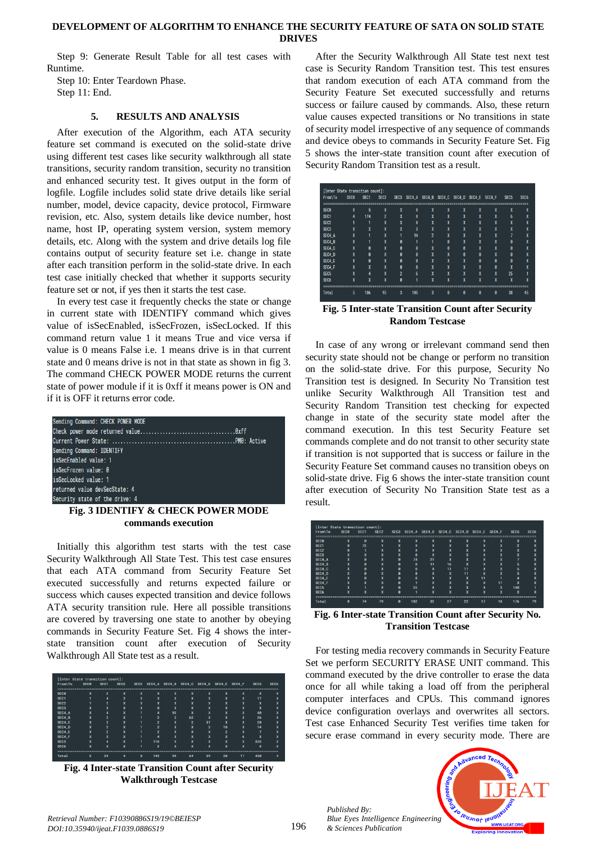#### **DEVELOPMENT OF ALGORITHM TO ENHANCE THE SECURITY FEATURE OF SATA ON SOLID STATE DRIVES**

Step 9: Generate Result Table for all test cases with Runtime.

Step 10: Enter Teardown Phase. Step 11: End.

#### **5. RESULTS AND ANALYSIS**

After execution of the Algorithm, each ATA security feature set command is executed on the solid-state drive using different test cases like security walkthrough all state transitions, security random transition, security no transition and enhanced security test. It gives output in the form of logfile. Logfile includes solid state drive details like serial number, model, device capacity, device protocol, Firmware revision, etc. Also, system details like device number, host name, host IP, operating system version, system memory details, etc. Along with the system and drive details log file contains output of security feature set i.e. change in state after each transition perform in the solid-state drive. In each test case initially checked that whether it supports security feature set or not, if yes then it starts the test case.

In every test case it frequently checks the state or change in current state with IDENTIFY command which gives value of isSecEnabled, isSecFrozen, isSecLocked. If this command return value 1 it means True and vice versa if value is 0 means False i.e. 1 means drive is in that current state and 0 means drive is not in that state as shown in fig 3. The command CHECK POWER MODE returns the current state of power module if it is 0xff it means power is ON and if it is OFF it returns error code.

| Sending Command: CHECK POWER MODE |  |
|-----------------------------------|--|
|                                   |  |
|                                   |  |
| Sending Command: IDENTIFY         |  |
| isSecEnabled value: 1             |  |
| isSecFrozen value: 0              |  |
| isSecLocked value: 1              |  |
| returned value devSecState: 4     |  |
| Security state of the drive: 4    |  |

# **Fig. 3 IDENTIFY & CHECK POWER MODE commands execution**

Initially this algorithm test starts with the test case Security Walkthrough All State Test. This test case ensures that each ATA command from Security Feature Set executed successfully and returns expected failure or success which causes expected transition and device follows ATA security transition rule. Here all possible transitions are covered by traversing one state to another by obeying commands in Security Feature Set. Fig 4 shows the interstate transition count after execution of Security Walkthrough All State test as a result.

| <b>From\To</b>         | <b>SEC<sub>B</sub></b> | SEC <sub>1</sub> | SEC <sub>2</sub>              | SEC <sub>3</sub>          | SEC4_A         |                | SEC4_B SEC4_C SEC4_D SEC4_E SEC4_F |                               |                            |                   | <b>SEC5</b>               | SEC <sub>6</sub> |
|------------------------|------------------------|------------------|-------------------------------|---------------------------|----------------|----------------|------------------------------------|-------------------------------|----------------------------|-------------------|---------------------------|------------------|
| <b>SEC<sub>B</sub></b> | w<br>х                 | $\overline{2}$   | X                             | $\ddot{\phantom{1}}$<br>х | w<br>х         | x              | $\overline{\phantom{a}}$<br>х      | $\mathbf{x}$                  | ×.<br>л                    | w<br>х            | $\ddot{\phantom{1}}$<br>х | $\mathbf{x}$     |
| SEC <sub>1</sub>       |                        | А                | з                             | - 3                       | v<br>л         | x              | ж                                  | $\bullet$<br>л                | ш<br>л                     | $\mathbf{v}$<br>х | 17                        | w<br>ж           |
| SFC <sub>2</sub>       |                        | $\overline{2}$   | <b>M</b><br>ж                 | -48<br>ж                  | ×.<br>A        | x              | х                                  | $\overline{1}$<br>х           | ×.<br>$\ddot{\phantom{a}}$ | w<br>ж            | 54<br>ж                   | w<br>^           |
| SEC <sub>3</sub>       | x                      | w<br>л           | $\overline{\phantom{a}}$<br>х | $\ddot{\phantom{1}}$<br>л | 8              | x              | $\overline{\phantom{a}}$<br>л      | $\ddot{}$<br>х                | ×.<br>л                    | w<br>л            | w<br>л                    | w<br>^           |
| SEC4 A                 | x                      | А                | $\overline{\phantom{a}}$<br>ж |                           | 4              | 93             | $\overline{\phantom{a}}$<br>х      | $\bullet$<br>л                | н.<br>л                    | $\mathbf{v}$<br>х | $\overline{AB}$           |                  |
| SEC4_B                 | v<br>x                 | $\overline{2}$   | <b>M</b><br>ж                 |                           | $\overline{2}$ | $\overline{2}$ | 62                                 | w<br>×                        | ×.<br>$\ddot{\phantom{a}}$ | w<br>ж            | 26                        | A                |
| SEC4 <sub>C</sub>      | x                      | $\overline{2}$   | $\ddot{\phantom{1}}$<br>х     |                           | $\overline{2}$ | x              | $\overline{2}$                     | 37                            | ×.<br>л                    | w<br>х            | 28                        |                  |
| SEC4 D                 | x                      | $\overline{2}$   | $\overline{\phantom{a}}$<br>х |                           | $\overline{2}$ | x              | $\overline{\phantom{a}}$<br>л      | $\overline{2}$                | 18                         | $\mathbf{v}$<br>х | 14                        | л                |
| SEC4_E                 | w<br>ж                 | $\overline{2}$   | 54.40<br>ж                    |                           | $\overline{2}$ | ъ.<br>ж        | w                                  | $\overline{\phantom{a}}$<br>៱ | $\overline{2}$             | ь                 |                           |                  |
| SEC4 F                 | w<br>х                 | w<br>л           | $\overline{\phantom{a}}$<br>х |                           | Δ              | x              | $\overline{\phantom{a}}$<br>л      | $\ddot{}$<br>х                | ×.<br>л                    | ħ                 | ×.<br>л                   |                  |
| <b>SEC5</b>            | w<br>л                 | А                | $\overline{\phantom{a}}$<br>х |                           | 116            | x              | -48<br>л                           | $\bullet$<br>л                | н.<br>л                    | $\mathbf{v}$<br>х | 326                       |                  |
| SEC <sub>6</sub>       | s.<br>х                | ъ.<br>ж          | <b>M</b><br>ж                 |                           | 2              | x              | <b>M</b><br>х                      | w<br>х                        | ×.<br>^                    | s.<br>ж           | 54<br>ж.                  |                  |

**Fig. 4 Inter-state Transition Count after Security Walkthrough Testcase**

After the Security Walkthrough All State test next test case is Security Random Transition test. This test ensures that random execution of each ATA command from the Security Feature Set executed successfully and returns success or failure caused by commands. Also, these return value causes expected transitions or No transitions in state of security model irrespective of any sequence of commands and device obeys to commands in Security Feature Set. Fig 5 shows the inter-state transition count after execution of Security Random Transition test as a result.

| [Inter State transition count]: |                        |                  |                  |        |        |        |                                                |                   |                               |         |                  |                  |
|---------------------------------|------------------------|------------------|------------------|--------|--------|--------|------------------------------------------------|-------------------|-------------------------------|---------|------------------|------------------|
| From\To                         | <b>SEC<sub>B</sub></b> | SEC <sub>1</sub> | SEC <sub>2</sub> |        |        |        | SEC3 SEC4_A SEC4_B SEC4_C SEC4_D SEC4_E SEC4_F |                   |                               |         | SEC <sub>5</sub> | SEC <sub>6</sub> |
|                                 |                        |                  |                  |        |        |        |                                                |                   |                               |         |                  |                  |
| <b>SEC<sub>B</sub></b>          | X                      | 5                | X                | X      | X      | X      | X                                              | X                 | X                             | X       | X                | X                |
| SEC <sub>1</sub>                | 4                      | 174              | $\overline{2}$   | X      | v<br>Х | v<br>Ā | X                                              | v<br>Ā            | v<br>Ā                        | v<br>Ā  | 6                |                  |
| SFC <sub>2</sub>                |                        |                  | X                | v<br>х | v<br>Ā | v<br>Ā | X                                              | v<br>л            | v<br>۸                        | v<br>۸  | X                | z                |
| SFC3                            | X                      | v<br>۸           | X                | X      | 3      | v<br>Ā | X                                              | v<br>л            | v<br>А                        | v<br>٨  | X                | X                |
| SEC4 A                          | X                      |                  | X                |        | 94     | 2      | X                                              | v<br>л            | v<br>А                        | m.<br>л |                  | v                |
| SEC4 B                          | X                      |                  | X                | ø      |        |        | ø                                              | $\mathbf{v}$<br>л | v<br>А                        | v<br>л  | ø                | v                |
| SEC4 C                          | X                      | ø                | X                | ø      | ø      | v<br>Ā | ø                                              | ø                 | v<br>А                        | v<br>л  | ø                | v                |
| SEC4 D                          | X                      | ø                | X                | ø      | ø      | v<br>Ā | X                                              | ø                 | ø                             | v<br>л  | ø                | v<br>л           |
| SEC4 E                          | X                      | ø                | X                | ø      | ø      | v<br>Ā | v<br>х                                         | v<br>Ā            | ø                             | ø       | ø                | v<br>z           |
| SEC4 F                          | X                      | v<br>л           | X                | A      | ø      | v<br>Ā | v<br>х                                         | v<br>A            | v<br>л                        | ø       | X                | v                |
| <b>SFC5</b>                     | v                      | 4                | X                | 2      | 6      | w<br>л | v<br>л                                         | w<br>A            | $\overline{\phantom{a}}$<br>л | 36<br>л | 25               |                  |
| SEC <sub>6</sub>                | X                      | w<br>۸           | v<br>A           | A      | ٠      | w<br>A | w<br>٨                                         | v.<br>A           | $\mathbf{v}$<br>л             | v.<br>л | ú<br>Ā           | X                |
|                                 |                        |                  |                  |        |        |        |                                                |                   |                               |         |                  |                  |
| Total                           | 5                      | 186              | 95               | 3      | 105    | 3      | A                                              | A                 | Ĥ                             | ĥ       | 38               | 45               |

**Fig. 5 Inter-state Transition Count after Security Random Testcase**

In case of any wrong or irrelevant command send then security state should not be change or perform no transition on the solid-state drive. For this purpose, Security No Transition test is designed. In Security No Transition test unlike Security Walkthrough All Transition test and Security Random Transition test checking for expected change in state of the security state model after the command execution. In this test Security Feature set commands complete and do not transit to other security state if transition is not supported that is success or failure in the Security Feature Set command causes no transition obeys on solid-state drive. Fig 6 shows the inter-state transition count after execution of Security No Transition State test as a result.



**Transition Testcase**

For testing media recovery commands in Security Feature Set we perform SECURITY ERASE UNIT command. This command executed by the drive controller to erase the data once for all while taking a load off from the peripheral computer interfaces and CPUs. This command ignores device configuration overlays and overwrites all sectors. Test case Enhanced Security Test verifies time taken for secure erase command in every security mode. There are

*Published By: Blue Eyes Intelligence Engineering & Sciences Publication* 

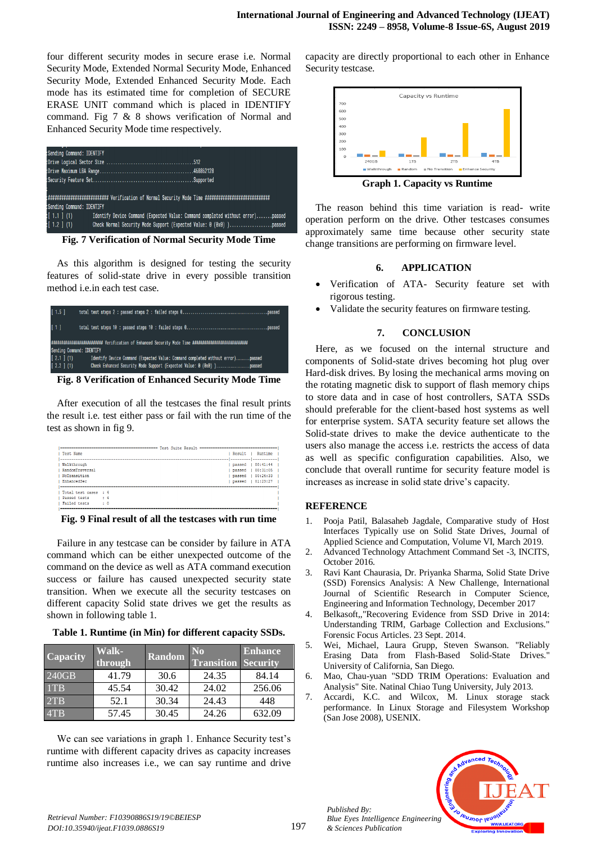four different security modes in secure erase i.e. Normal Security Mode, Extended Normal Security Mode, Enhanced Security Mode, Extended Enhanced Security Mode. Each mode has its estimated time for completion of SECURE ERASE UNIT command which is placed in IDENTIFY command. Fig 7 & 8 shows verification of Normal and Enhanced Security Mode time respectively.

| Sending Command: IDENTIFY                                                                                   |  |
|-------------------------------------------------------------------------------------------------------------|--|
|                                                                                                             |  |
|                                                                                                             |  |
|                                                                                                             |  |
|                                                                                                             |  |
|                                                                                                             |  |
| Sending Command: IDENTIFY                                                                                   |  |
| $\left[ 1.1 \right]$ (1)<br>Identify Device Command (Expected Value: Command completed without error)passed |  |
| :[ 1.2 ] (1)                                                                                                |  |

**Fig. 7 Verification of Normal Security Mode Time**

As this algorithm is designed for testing the security features of solid-state drive in every possible transition method i.e.in each test case.

|                  | [1.5]         |                           |                                                                                 |
|------------------|---------------|---------------------------|---------------------------------------------------------------------------------|
| $\left[1\right]$ |               |                           |                                                                                 |
|                  |               |                           |                                                                                 |
|                  |               | Sending Command: IDENTIFY |                                                                                 |
|                  | $[2.1]$ $(1)$ |                           | Identify Device Command (Expected Value: Command completed without error)passed |
|                  | [2.2] (1)     |                           | Check Enhanced Security Mode Support (Expected Value: 0 (0x0) )passed           |

**Fig. 8 Verification of Enhanced Security Mode Time**

After execution of all the testcases the final result prints the result i.e. test either pass or fail with the run time of the test as shown in fig 9.

| Test Suite Result.      |                              |          |  |
|-------------------------|------------------------------|----------|--|
| Test Name               | Result                       | Runtime  |  |
|                         |                              |          |  |
| Walkthrough             | passed                       | 00:41:44 |  |
| RandomTraversal         | passed                       | 00:31:05 |  |
| NoTransition            | passed                       | 00:24:33 |  |
| EnhancedSec             | passed                       | 01:23:27 |  |
|                         | ---------------------------- |          |  |
| Total test cases : 4    |                              |          |  |
| Passed tests<br>14      |                              |          |  |
| Failed tests<br>$\pm 0$ |                              |          |  |
|                         |                              |          |  |

**Fig. 9 Final result of all the testcases with run time**

Failure in any testcase can be consider by failure in ATA command which can be either unexpected outcome of the command on the device as well as ATA command execution success or failure has caused unexpected security state transition. When we execute all the security testcases on different capacity Solid state drives we get the results as shown in following table 1.

**Table 1. Runtime (in Min) for different capacity SSDs.**

| Capacity | Walk-<br>through | Random | N <sub>0</sub><br><b>Transition Security</b> | <b>Enhance</b> |
|----------|------------------|--------|----------------------------------------------|----------------|
| 240GB    | 41.79            | 30.6   | 24.35                                        | 84.14          |
| 1TB      | 45.54            | 30.42  | 24.02                                        | 256.06         |
| 2TB      | 52.1             | 30.34  | 24.43                                        | 448            |
| 4TB      | 57.45            | 30.45  | 24.26                                        | 632.09         |

We can see variations in graph 1. Enhance Security test's runtime with different capacity drives as capacity increases runtime also increases i.e., we can say runtime and drive capacity are directly proportional to each other in Enhance Security testcase.



The reason behind this time variation is read- write operation perform on the drive. Other testcases consumes approximately same time because other security state change transitions are performing on firmware level.

# **6. APPLICATION**

- Verification of ATA- Security feature set with rigorous testing.
- Validate the security features on firmware testing.

# **7. CONCLUSION**

Here, as we focused on the internal structure and components of Solid-state drives becoming hot plug over Hard-disk drives. By losing the mechanical arms moving on the rotating magnetic disk to support of flash memory chips to store data and in case of host controllers, SATA SSDs should preferable for the client-based host systems as well for enterprise system. SATA security feature set allows the Solid-state drives to make the device authenticate to the users also manage the access i.e. restricts the access of data as well as specific configuration capabilities. Also, we conclude that overall runtime for security feature model is increases as increase in solid state drive's capacity.

# **REFERENCE**

- 1. Pooja Patil, Balasaheb Jagdale, Comparative study of Host Interfaces Typically use on Solid State Drives, Journal of Applied Science and Computation, Volume VI, March 2019.
- 2. Advanced Technology Attachment Command Set -3, INCITS, October 2016.
- 3. Ravi Kant Chaurasia, Dr. Priyanka Sharma, Solid State Drive (SSD) Forensics Analysis: A New Challenge, International Journal of Scientific Research in Computer Science, Engineering and Information Technology, December 2017
- 4. Belkasoft,,"Recovering Evidence from SSD Drive in 2014: Understanding TRIM, Garbage Collection and Exclusions." Forensic Focus Articles. 23 Sept. 2014.
- 5. Wei, Michael, Laura Grupp, Steven Swanson. "Reliably Erasing Data from Flash-Based Solid-State Drives." University of California, San Diego.
- 6. Mao, Chau-yuan "SDD TRIM Operations: Evaluation and Analysis" Site. Natinal Chiao Tung University, July 2013.
- 7. Accardi, K.C. and Wilcox, M. Linux storage stack performance. In Linux Storage and Filesystem Workshop (San Jose 2008), USENIX.



*Published By:*